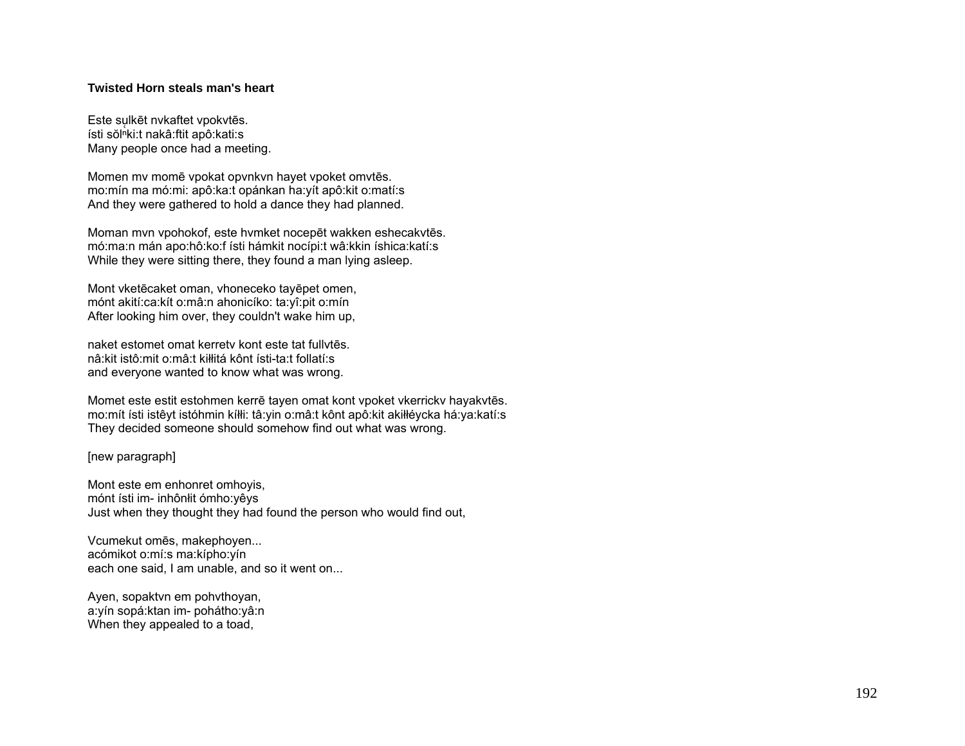## **Twisted Horn steals man's heart**

Este sulkēt nvkaftet vpokvtēs. ísti sŏlʰki:t nakâ:ftit apô:kati:s Many people once had a meeting.

Momen mv momē vpokat opvnkvn hayet vpoket omvtēs. mo:mín ma mó:mi: apô:ka:t opánkan ha:yít apô:kit o:matí:s And they were gathered to hold a dance they had planned.

Moman mvn vpohokof, este hvmket nocepēt wakken eshecakvtēs. mó:ma:n mán apo:hô:ko:f ísti hámkit nocípi:t wâ:kkin íshica:katí:s While they were sitting there, they found a man lying asleep.

Mont vketēcaket oman, vhoneceko tayēpet omen, mónt akití:ca:kít o:mâ:n ahonicíko: ta:yî:pit o:mín After looking him over, they couldn't wake him up,

naket estomet omat kerretv kont este tat fullvtēs. nâ:kit istô:mit o:mâ:t kiłłitá kônt ísti-ta:t follatí:s and everyone wanted to know what was wrong.

Momet este estit estohmen kerrē tayen omat kont vpoket vkerrickv hayakvtēs. mo:mít ísti istêyt istóhmin kíłłi: tâ:yin o:mâ:t kônt apô:kit akiłłéycka há:ya:katí:s They decided someone should somehow find out what was wrong.

[new paragraph]

Mont este em enhonret omhoyis, mónt ísti im- inhônłit ómho:yêys Just when they thought they had found the person who would find out,

Vcumekut omēs, makephoyen... acómikot o:mí:s ma:kípho:yín each one said, I am unable, and so it went on...

Ayen, sopaktvn em pohvthoyan, a:yín sopá:ktan im- pohátho:yâ:n When they appealed to a toad,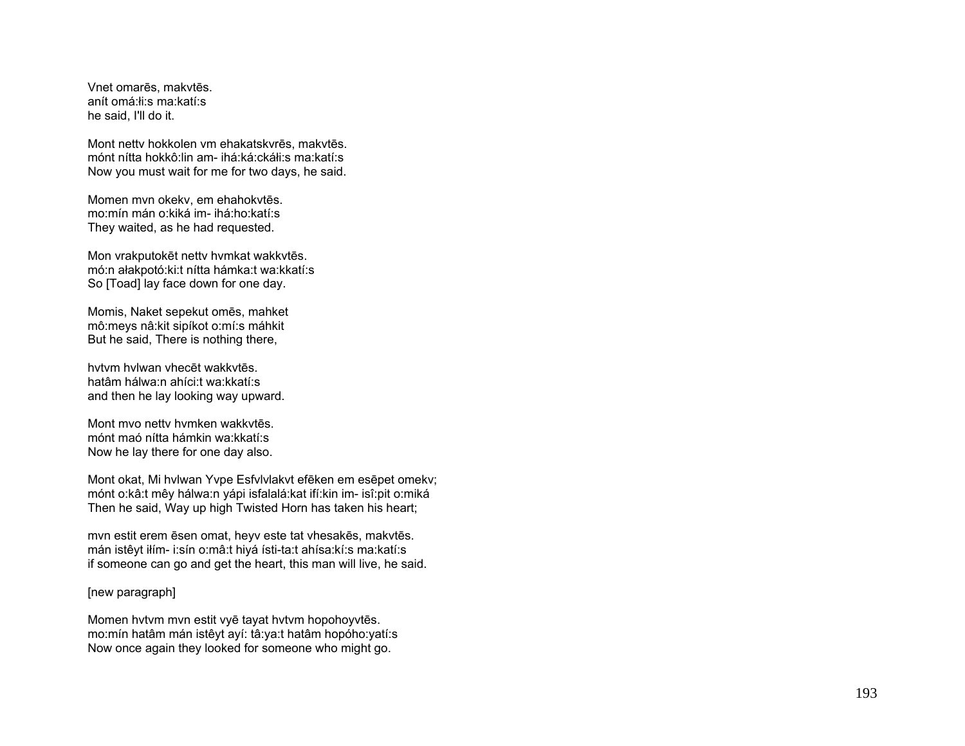Vnet omarēs, makvtēs. anít omá:łi:s ma:katí:s he said, I'll do it.

Mont nettv hokkolen vm ehakatskvrēs, makvtēs. mónt nítta hokkô:lin am- ihá:ká:ckáłi:s ma:katí:s Now you must wait for me for two days, he said.

Momen mvn okekv, em ehahokvtēs. mo:mín mán o:kiká im- ihá:ho:katí:s They waited, as he had requested.

Mon vrakputokēt nettv hvmkat wakkvtēs. mó:n ałakpotó:ki:t nítta hámka:t wa:kkatí:s So [Toad] lay face down for one day.

Momis, Naket sepekut omēs, mahket mô:meys nâ:kit sipíkot o:mí:s máhkit But he said, There is nothing there,

hvtvm hvlwan vhecēt wakkvtēs. hatâm hálwa:n ahíci:t wa:kkatí:s and then he lay looking way upward.

Mont mvo nettv hvmken wakkvtēs. mónt maó nítta hámkin wa:kkatí:s Now he lay there for one day also.

Mont okat, Mi hvlwan Yvpe Esfvlvlakvt efēken em esēpet omekv; mónt o:kâ:t mêy hálwa:n yápi isfalalá:kat ifí:kin im- isî:pit o:miká Then he said, Way up high Twisted Horn has taken his heart;

mvn estit erem ēsen omat, heyv este tat vhesakēs, makvtēs. mán istêyt iłím- i:sín o:mâ:t hiyá ísti-ta:t ahísa:kí:s ma:katí:s if someone can go and get the heart, this man will live, he said.

[new paragraph]

Momen hvtvm mvn estit vyē tayat hvtvm hopohoyvtēs. mo:mín hatâm mán istêyt ayí: tâ:ya:t hatâm hopóho:yatí:s Now once again they looked for someone who might go.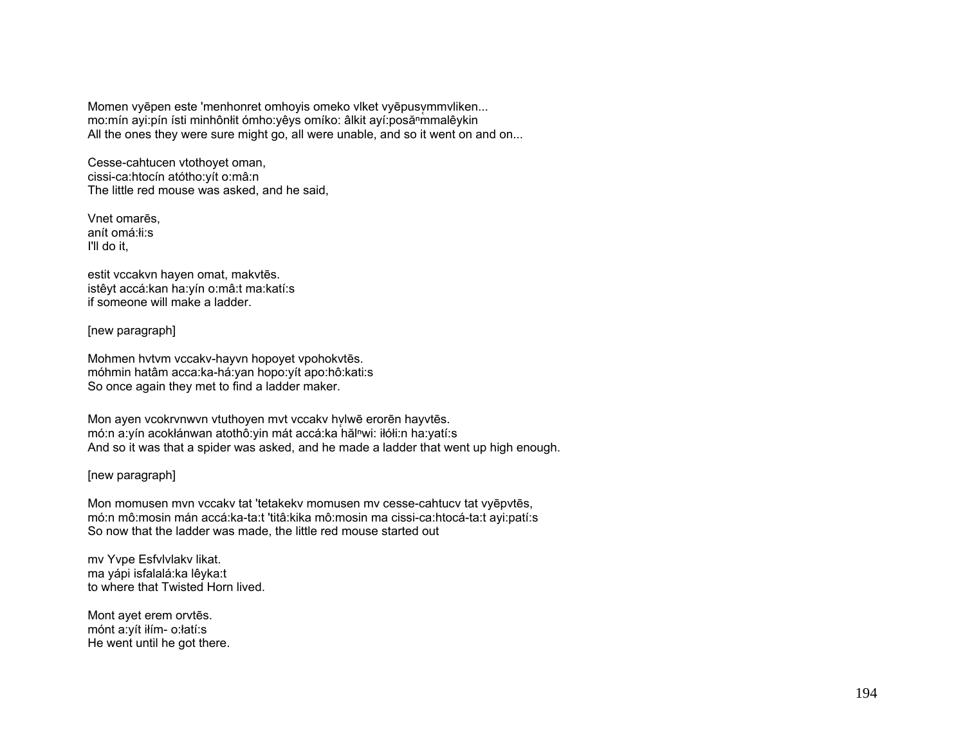Momen vyēpen este 'menhonret omhoyis omeko vlket vyēpusvmmvliken... mo:mín ayi:pín ísti minhônłit ómho:yêys omíko: âlkit ayí:posă<sup>n</sup>mmalêykin All the ones they were sure might go, all were unable, and so it went on and on...

Cesse-cahtucen vtothoyet oman, cissi-ca:htocín atótho:yít o:mâ:n The little red mouse was asked, and he said,

Vnet omarēs, anít omá:łi:s I'll do it,

estit vccakvn hayen omat, makvtēs. istêyt accá:kan ha:yín o:mâ:t ma:katí:s if someone will make a ladder.

[new paragraph]

Mohmen hvtvm vccakv-hayvn hopoyet vpohokvtēs. móhmin hatâm acca:ka-há:yan hopo:yít apo:hô:kati:s So once again they met to find a ladder maker.

Mon ayen vcokrvnwvn vtuthoyen mvt vccakv hylwē erorēn hayvtēs. mó:n a:yín acokłánwan atothô:yin mát accá:ka hăl<sup>n</sup>wi: iłółi:n ha:yatí:s And so it was that a spider was asked, and he made a ladder that went up high enough.

## [new paragraph]

Mon momusen mvn vccakv tat 'tetakekv momusen mv cesse-cahtucv tat vyēpvtēs, mó:n mô:mosin mán accá:ka-ta:t 'titâ:kika mô:mosin ma cissi-ca:htocá-ta:t ayi:patí:s So now that the ladder was made, the little red mouse started out

mv Yvpe Esfvlvlakv likat. ma yápi isfalalá:ka lêyka:t to where that Twisted Horn lived.

Mont ayet erem orvtēs. mónt a:yít iłím- o:łatí:s He went until he got there.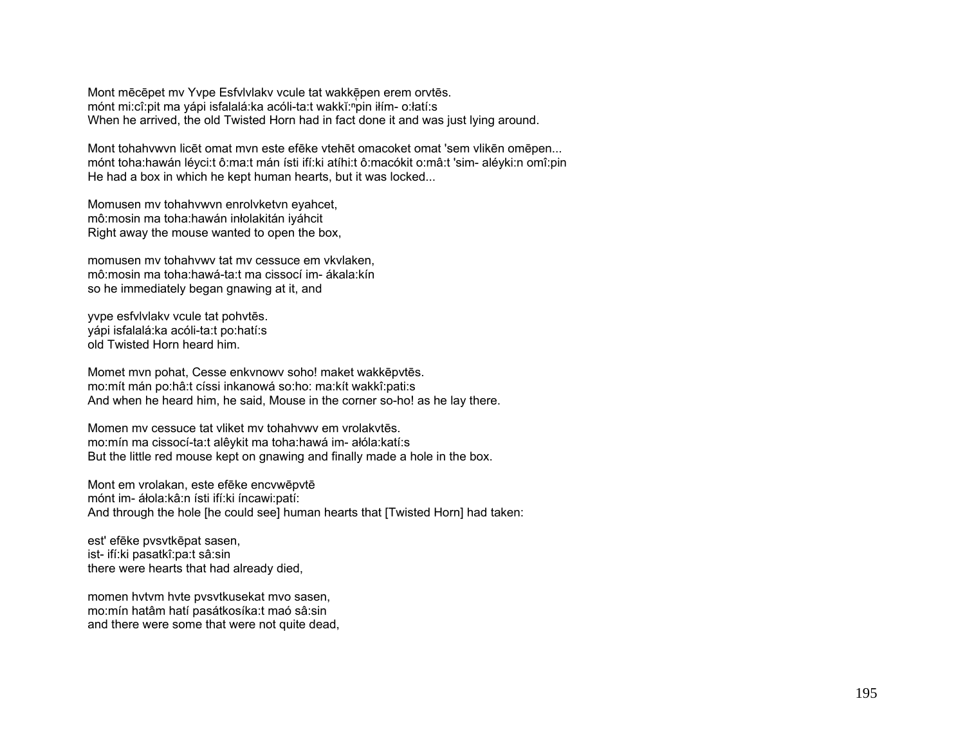Mont mēcēpet mv Yvpe Esfylvlaky vcule tat wakkēpen erem orvtēs. mónt mi:cî:pit ma yápi isfalalá:ka acóli-ta:t wakkĭ:npin iłím- o:łatí:s When he arrived, the old Twisted Horn had in fact done it and was just lying around.

Mont tohahywyn licēt omat myn este efēke ytehēt omacoket omat 'sem ylikēn omēpen... mónt toha: hawán lévci: tô: ma: t mán ísti ifí: ki atíhi: tô: macókit o: mâ: t 'sim- alévki: n omî: pin He had a box in which he kept human hearts, but it was locked...

Momusen my tohahywyn enrolyketyn eyahcet, mô: mosin ma toha: hawán inłolakitán iyáhcit Right away the mouse wanted to open the box,

momusen my tohahywy tat my cessuce em ykylaken. mô: mosin ma toha: hawá-ta: t ma cissocí im - ákala: kín so he immediately began gnawing at it, and

yvpe esfylvlaky vcule tat pohytēs. vápi isfalalá: ka acóli-ta: t po: hatí: s old Twisted Horn heard him.

Momet mvn pohat, Cesse enkvnowy soho! maket wakkepytes. mo:mít mán po:hâ:t císsi inkanowá so:ho: ma:kít wakkî:pati:s And when he heard him, he said, Mouse in the corner so-ho! as he lay there.

Momen my cessuce tat vliket my tohahywy em vrolakytēs. mo:mín ma cissocí-ta:t alêykit ma toha:hawá im- ałóla:katí:s But the little red mouse kept on gnawing and finally made a hole in the box.

Mont em vrolakan, este efēke encvwēpvtē mónt im- áłola: kâ: n ísti ifí: ki íncawi: patí: And through the hole [he could see] human hearts that [Twisted Horn] had taken:

est' efēke pvsvtkēpat sasen, ist- ifí:ki pasatkî:pa:t sâ:sin there were hearts that had already died,

momen hytym hyte pysytkusekat myo sasen, mo:mín hatâm hatí pasátkosíka:t maó sâ:sin and there were some that were not quite dead.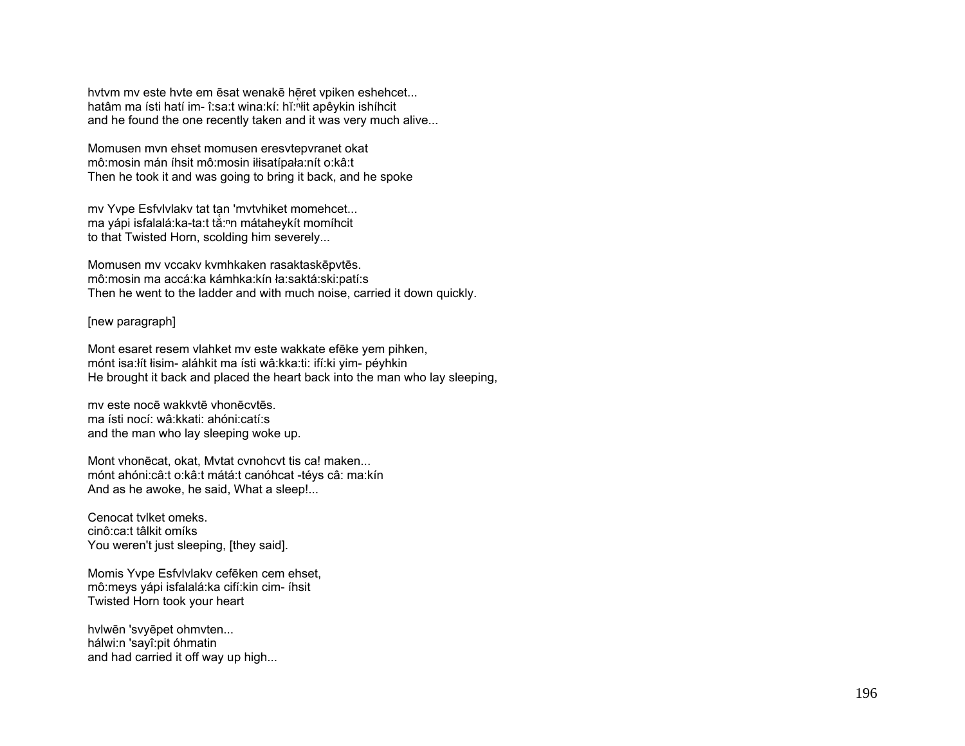hytym my este hyte em ēsat wenakē hēret vpiken eshehcet... hatâm ma ísti hatí im- î:sa:t wina:kí: hǐ:<sup>n</sup>łit apêykin ishíhcit and he found the one recently taken and it was very much alive...

Momusen myn ehset momusen eresytepyranet okat mô: mosin mán íhsit mô: mosin ilisatípala: nít o: kâ: t Then he took it and was going to bring it back, and he spoke

mv Yvpe Esfvlvlakv tat tan 'mvtvhiket momehcet... ma yápi isfalalá: ka-ta: tá: n mátaheykít momíhcit to that Twisted Horn, scolding him severely...

Momusen mv vccakv kvmhkaken rasaktaskēpvtēs. mô:mosin ma accá:ka kámhka:kín ła:saktá:ski:patí:s Then he went to the ladder and with much noise, carried it down quickly.

[new paragraph]

Mont esaret resem vlahket my este wakkate efeke yem pihken, mónt isa:łít łisim- aláhkit ma ísti wâ:kka:ti: ifí:ki yim- péyhkin He brought it back and placed the heart back into the man who lay sleeping,

my este nocē wakkytē vhonēcytēs. ma ísti nocí: wâ:kkati: ahóni:catí:s and the man who lay sleeping woke up.

Mont vhonēcat, okat, Mytat cynohovt tis ca! maken... mónt ahóni: câ: t o: kâ: t mátá: t canóh cat - téys câ: ma: kín And as he awoke, he said, What a sleep!...

Cenocat tylket omeks. cinô:ca:t tâlkit omíks You weren't just sleeping, [they said].

Momis Yvpe Esfylvlaky cefēken cem ehset, mô: meys yápi isfalalá: ka cifí: kin cim-íhsit Twisted Horn took your heart

hvlwēn 'svyēpet ohmvten... hálwi:n 'sayî:pit óhmatin and had carried it off way up high...